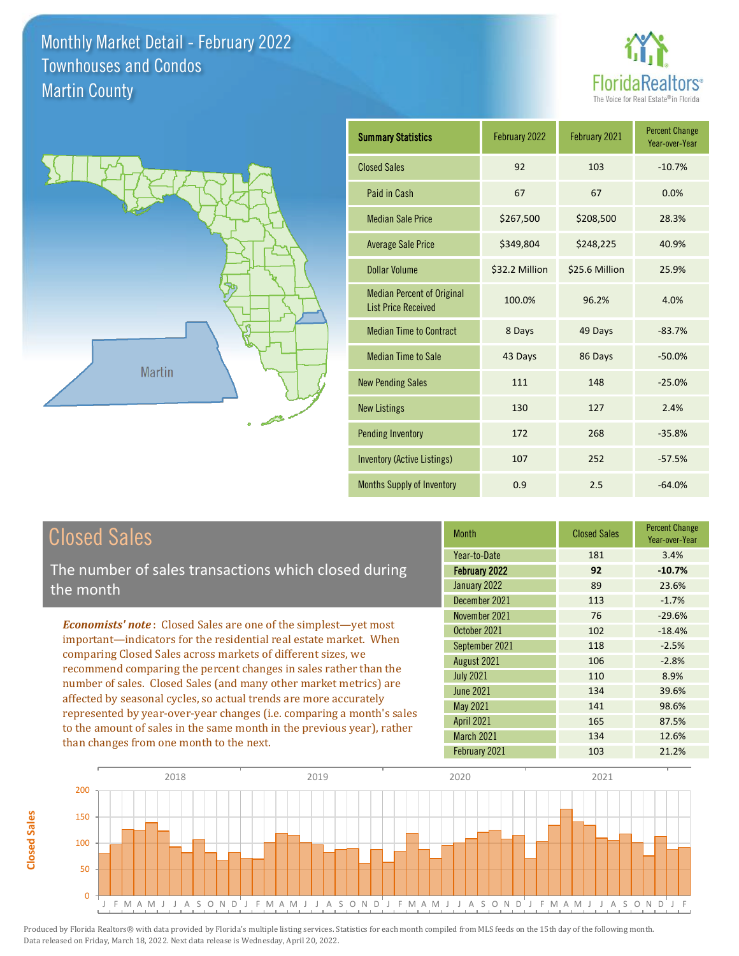



| <b>Summary Statistics</b>                                       | February 2022  | February 2021  | <b>Percent Change</b><br>Year-over-Year |
|-----------------------------------------------------------------|----------------|----------------|-----------------------------------------|
| <b>Closed Sales</b>                                             | 92             | 103            | $-10.7%$                                |
| Paid in Cash                                                    | 67             | 67             | 0.0%                                    |
| <b>Median Sale Price</b>                                        | \$267,500      | \$208,500      | 28.3%                                   |
| <b>Average Sale Price</b>                                       | \$349,804      | \$248,225      | 40.9%                                   |
| <b>Dollar Volume</b>                                            | \$32.2 Million | \$25.6 Million | 25.9%                                   |
| <b>Median Percent of Original</b><br><b>List Price Received</b> | 100.0%         | 96.2%          | 4.0%                                    |
| <b>Median Time to Contract</b>                                  | 8 Days         | 49 Days        | $-83.7%$                                |
| <b>Median Time to Sale</b>                                      | 43 Days        | 86 Days        | $-50.0%$                                |
| <b>New Pending Sales</b>                                        | 111            | 148            | $-25.0%$                                |
| <b>New Listings</b>                                             | 130            | 127            | 2.4%                                    |
| <b>Pending Inventory</b>                                        | 172            | 268            | $-35.8%$                                |
| <b>Inventory (Active Listings)</b>                              | 107            | 252            | $-57.5%$                                |
| <b>Months Supply of Inventory</b>                               | 0.9            | 2.5            | $-64.0%$                                |

# Closed Sales

**Closed Sales**

**Closed Sales** 

The number of sales transactions which closed during the month

*Economists' note* : Closed Sales are one of the simplest—yet most important—indicators for the residential real estate market. When comparing Closed Sales across markets of different sizes, we recommend comparing the percent changes in sales rather than the number of sales. Closed Sales (and many other market metrics) are affected by seasonal cycles, so actual trends are more accurately represented by year-over-year changes (i.e. comparing a month's sales to the amount of sales in the same month in the previous year), rather than changes from one month to the next.

| <b>Month</b>      | <b>Closed Sales</b> | <b>Percent Change</b><br>Year-over-Year |
|-------------------|---------------------|-----------------------------------------|
| Year-to-Date      | 181                 | 3.4%                                    |
| February 2022     | 92                  | $-10.7%$                                |
| January 2022      | 89                  | 23.6%                                   |
| December 2021     | 113                 | $-1.7%$                                 |
| November 2021     | 76                  | $-29.6%$                                |
| October 2021      | 102                 | $-18.4%$                                |
| September 2021    | 118                 | $-2.5%$                                 |
| August 2021       | 106                 | $-2.8%$                                 |
| <b>July 2021</b>  | 110                 | 8.9%                                    |
| <b>June 2021</b>  | 134                 | 39.6%                                   |
| May 2021          | 141                 | 98.6%                                   |
| <b>April 2021</b> | 165                 | 87.5%                                   |
| March 2021        | 134                 | 12.6%                                   |
| February 2021     | 103                 | 21.2%                                   |

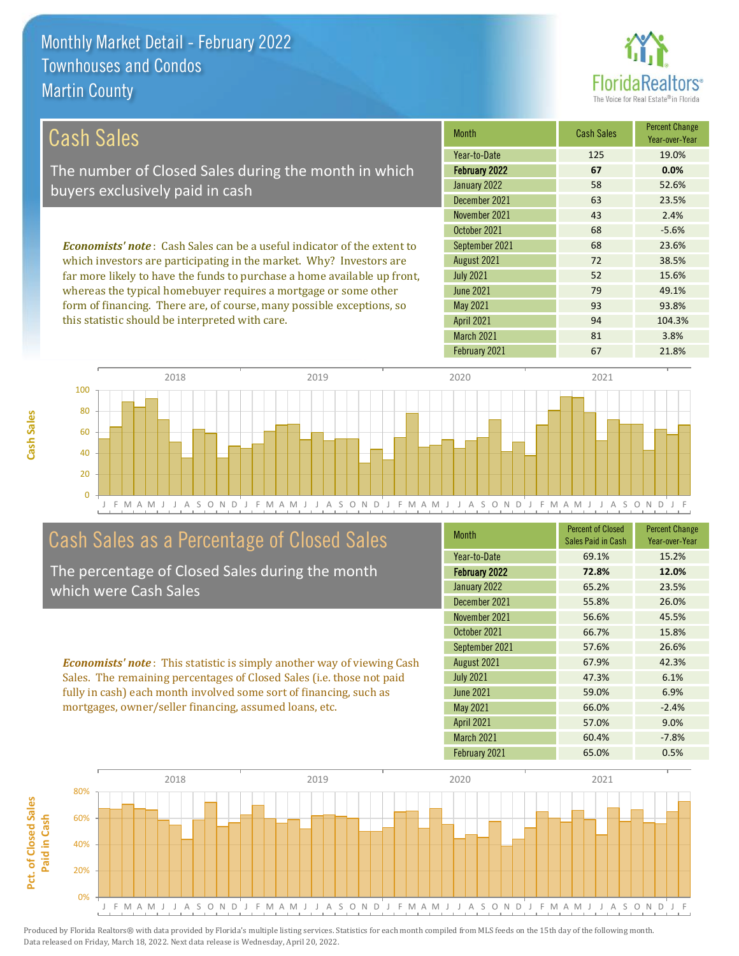

| <b>Cash Sales</b>                                                              | <b>Month</b>      | <b>Cash Sales</b> | <b>Percent Change</b><br>Year-over-Year |
|--------------------------------------------------------------------------------|-------------------|-------------------|-----------------------------------------|
|                                                                                | Year-to-Date      | 125               | 19.0%                                   |
| The number of Closed Sales during the month in which                           | February 2022     | 67                | 0.0%                                    |
| buyers exclusively paid in cash                                                | January 2022      | 58                | 52.6%                                   |
|                                                                                | December 2021     | 63                | 23.5%                                   |
|                                                                                | November 2021     | 43                | 2.4%                                    |
|                                                                                | October 2021      | 68                | $-5.6%$                                 |
| <b>Economists' note:</b> Cash Sales can be a useful indicator of the extent to | September 2021    | 68                | 23.6%                                   |
| which investors are participating in the market. Why? Investors are            | August 2021       | 72                | 38.5%                                   |
| far more likely to have the funds to purchase a home available up front,       | <b>July 2021</b>  | 52                | 15.6%                                   |
| whereas the typical homebuyer requires a mortgage or some other                | June 2021         | 79                | 49.1%                                   |
| form of financing. There are, of course, many possible exceptions, so          | May 2021          | 93                | 93.8%                                   |
| this statistic should be interpreted with care.                                | <b>April 2021</b> | 94                | 104.3%                                  |



### Cash Sales as a Percentage of Closed Sales

**Cash Sales**

The percentage of Closed Sales during the month which were Cash Sales

*Economists' note* : This statistic is simply another way of viewing Cash Sales. The remaining percentages of Closed Sales (i.e. those not paid fully in cash) each month involved some sort of financing, such as mortgages, owner/seller financing, assumed loans, etc.

| <b>Month</b>         | <b>Percent of Closed</b><br>Sales Paid in Cash | <b>Percent Change</b><br>Year-over-Year |
|----------------------|------------------------------------------------|-----------------------------------------|
| Year-to-Date         | 69.1%                                          | 15.2%                                   |
| <b>February 2022</b> | 72.8%                                          | 12.0%                                   |
| January 2022         | 65.2%                                          | 23.5%                                   |
| December 2021        | 55.8%                                          | 26.0%                                   |
| November 2021        | 56.6%                                          | 45.5%                                   |
| October 2021         | 66.7%                                          | 15.8%                                   |
| September 2021       | 57.6%                                          | 26.6%                                   |
| August 2021          | 67.9%                                          | 42.3%                                   |
| <b>July 2021</b>     | 47.3%                                          | 6.1%                                    |
| <b>June 2021</b>     | 59.0%                                          | 6.9%                                    |
| <b>May 2021</b>      | 66.0%                                          | $-2.4%$                                 |
| <b>April 2021</b>    | 57.0%                                          | 9.0%                                    |
| March 2021           | 60.4%                                          | $-7.8%$                                 |
| February 2021        | 65.0%                                          | 0.5%                                    |

March 2021 81 81 3.8%

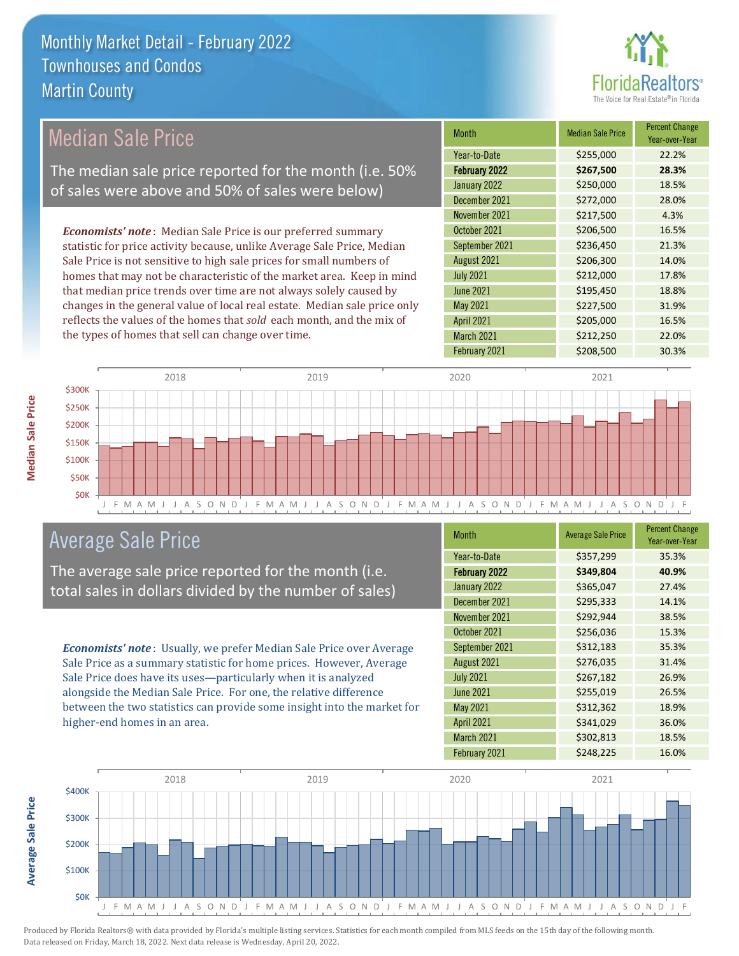

| Median Sale Price                                                         | <b>Month</b>      | <b>Median Sale Price</b> | <b>Percent Change</b><br>Year-over-Year |
|---------------------------------------------------------------------------|-------------------|--------------------------|-----------------------------------------|
|                                                                           | Year-to-Date      | \$255,000                | 22.2%                                   |
| The median sale price reported for the month (i.e. 50%                    | February 2022     | \$267,500                | 28.3%                                   |
| of sales were above and 50% of sales were below)                          | January 2022      | \$250,000                | 18.5%                                   |
|                                                                           | December 2021     | \$272,000                | 28.0%                                   |
|                                                                           | November 2021     | \$217,500                | 4.3%                                    |
| <b>Economists' note</b> : Median Sale Price is our preferred summary      | October 2021      | \$206,500                | 16.5%                                   |
| statistic for price activity because, unlike Average Sale Price, Median   | September 2021    | \$236,450                | 21.3%                                   |
| Sale Price is not sensitive to high sale prices for small numbers of      | August 2021       | \$206,300                | 14.0%                                   |
| homes that may not be characteristic of the market area. Keep in mind     | <b>July 2021</b>  | \$212,000                | 17.8%                                   |
| that median price trends over time are not always solely caused by        | June 2021         | \$195,450                | 18.8%                                   |
| changes in the general value of local real estate. Median sale price only | May 2021          | \$227,500                | 31.9%                                   |
| reflects the values of the homes that sold each month, and the mix of     | <b>April 2021</b> | \$205,000                | 16.5%                                   |
| the types of homes that sell can change over time.                        | March 2021        | \$212,250                | 22.0%                                   |



# Average Sale Price

The average sale price reported for the month (i.e. total sales in dollars divided by the number of sales)

*Economists' note* : Usually, we prefer Median Sale Price over Average Sale Price as a summary statistic for home prices. However, Average Sale Price does have its uses—particularly when it is analyzed alongside the Median Sale Price. For one, the relative difference between the two statistics can provide some insight into the market for higher-end homes in an area.

| <b>Month</b>      | <b>Average Sale Price</b> | <b>Percent Change</b><br>Year-over-Year |
|-------------------|---------------------------|-----------------------------------------|
| Year-to-Date      | \$357,299                 | 35.3%                                   |
| February 2022     | \$349,804                 | 40.9%                                   |
| January 2022      | \$365,047                 | 27.4%                                   |
| December 2021     | \$295,333                 | 14.1%                                   |
| November 2021     | \$292,944                 | 38.5%                                   |
| October 2021      | \$256,036                 | 15.3%                                   |
| September 2021    | \$312,183                 | 35.3%                                   |
| August 2021       | \$276,035                 | 31.4%                                   |
| <b>July 2021</b>  | \$267,182                 | 26.9%                                   |
| <b>June 2021</b>  | \$255,019                 | 26.5%                                   |
| <b>May 2021</b>   | \$312,362                 | 18.9%                                   |
| <b>April 2021</b> | \$341,029                 | 36.0%                                   |
| March 2021        | \$302,813                 | 18.5%                                   |
| February 2021     | \$248,225                 | 16.0%                                   |

February 2021 \$208,500 30.3%



**Median Sale Price**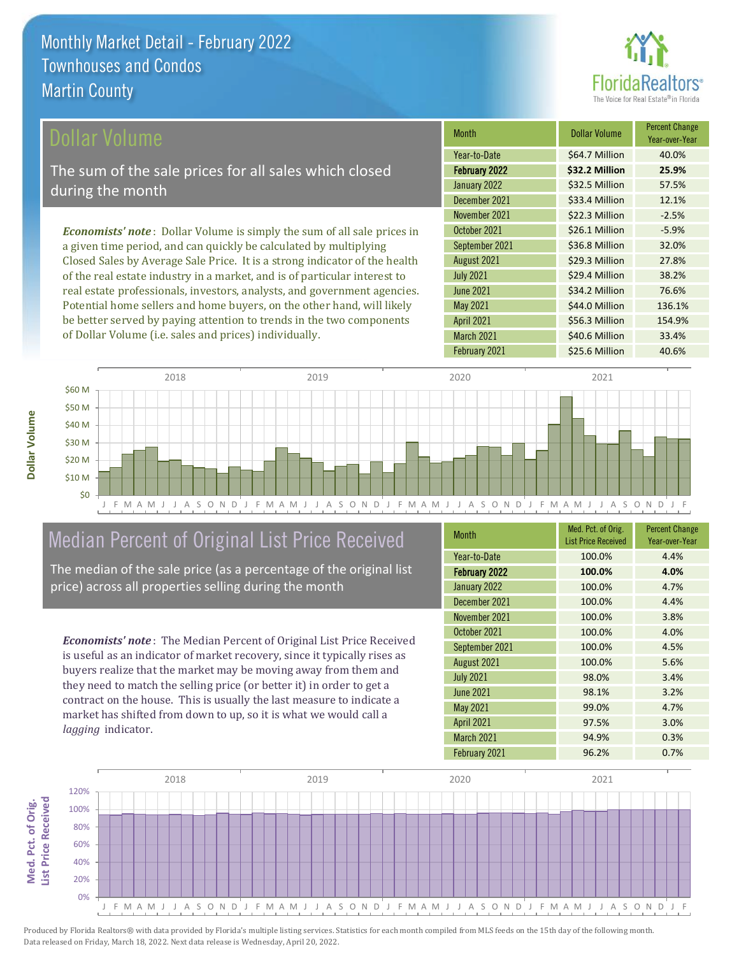

\$56.3 Million 154.9%

March 2021 **S40.6 Million** 33.4%

April 2021

| Dollar Volume                                                                   | <b>Month</b>     | <b>Dollar Volume</b> | <b>Percent Change</b><br>Year-over-Year |
|---------------------------------------------------------------------------------|------------------|----------------------|-----------------------------------------|
|                                                                                 | Year-to-Date     | \$64.7 Million       | 40.0%                                   |
| The sum of the sale prices for all sales which closed                           | February 2022    | \$32.2 Million       | 25.9%                                   |
| during the month                                                                | January 2022     | \$32.5 Million       | 57.5%                                   |
|                                                                                 | December 2021    | \$33.4 Million       | 12.1%                                   |
|                                                                                 | November 2021    | \$22.3 Million       | $-2.5%$                                 |
| <b>Economists' note</b> : Dollar Volume is simply the sum of all sale prices in | October 2021     | \$26.1 Million       | $-5.9%$                                 |
| a given time period, and can quickly be calculated by multiplying               | September 2021   | \$36.8 Million       | 32.0%                                   |
| Closed Sales by Average Sale Price. It is a strong indicator of the health      | August 2021      | \$29.3 Million       | 27.8%                                   |
| of the real estate industry in a market, and is of particular interest to       | <b>July 2021</b> | \$29.4 Million       | 38.2%                                   |
| real estate professionals, investors, analysts, and government agencies.        | June 2021        | \$34.2 Million       | 76.6%                                   |
| Potential home sellers and home buyers, on the other hand, will likely          | May 2021         | \$44.0 Million       | 136.1%                                  |



# Median Percent of Original List Price Received

be better served by paying attention to trends in the two components

of Dollar Volume (i.e. sales and prices) individually.

The median of the sale price (as a percentage of the original list price) across all properties selling during the month

*Economists' note* : The Median Percent of Original List Price Received is useful as an indicator of market recovery, since it typically rises as buyers realize that the market may be moving away from them and they need to match the selling price (or better it) in order to get a contract on the house. This is usually the last measure to indicate a market has shifted from down to up, so it is what we would call a *lagging* indicator.

| <b>Month</b>         | Med. Pct. of Orig.<br><b>List Price Received</b> | <b>Percent Change</b><br>Year-over-Year |
|----------------------|--------------------------------------------------|-----------------------------------------|
| Year-to-Date         | 100.0%                                           | 4.4%                                    |
| <b>February 2022</b> | 100.0%                                           | 4.0%                                    |
| January 2022         | 100.0%                                           | 4.7%                                    |
| December 2021        | 100.0%                                           | 4.4%                                    |
| November 2021        | 100.0%                                           | 3.8%                                    |
| October 2021         | 100.0%                                           | 4.0%                                    |
| September 2021       | 100.0%                                           | 4.5%                                    |
| August 2021          | 100.0%                                           | 5.6%                                    |
| <b>July 2021</b>     | 98.0%                                            | 3.4%                                    |
| <b>June 2021</b>     | 98.1%                                            | 3.2%                                    |
| <b>May 2021</b>      | 99.0%                                            | 4.7%                                    |
| <b>April 2021</b>    | 97.5%                                            | 3.0%                                    |
| <b>March 2021</b>    | 94.9%                                            | 0.3%                                    |
| February 2021        | 96.2%                                            | 0.7%                                    |



Produced by Florida Realtors® with data provided by Florida's multiple listing services. Statistics for each month compiled from MLS feeds on the 15th day of the following month. Data released on Friday, March 18, 2022. Next data release is Wednesday, April 20, 2022.

**Med. Pct. of Orig.** 

Med. Pct. of Orig.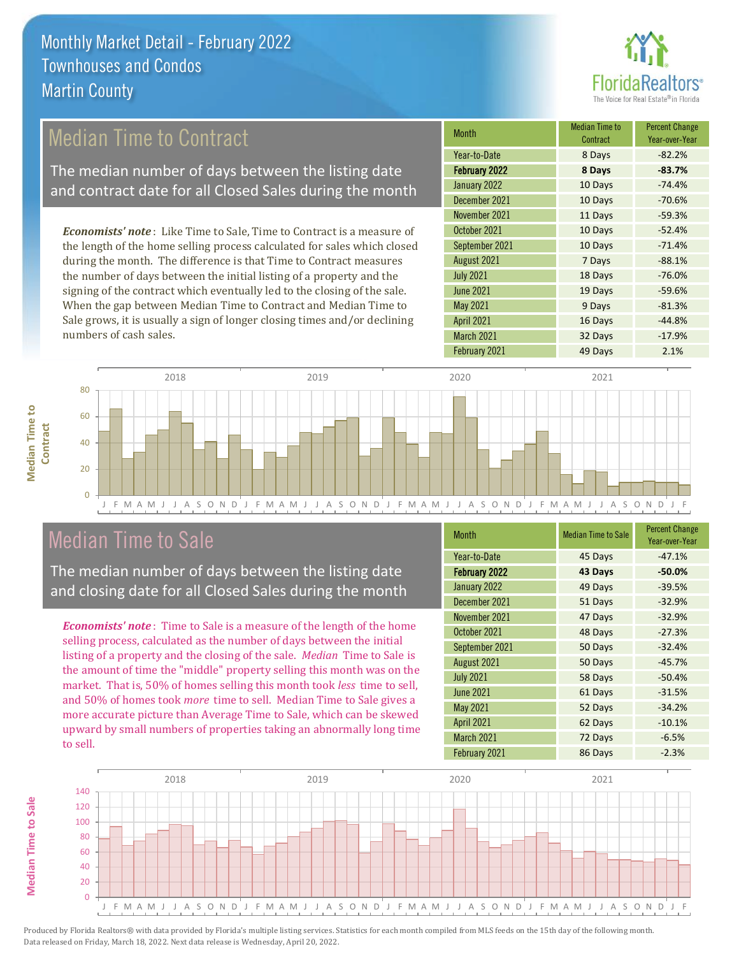

# Median Time to Contract

The median number of days between the listing date and contract date for all Closed Sales during the month

*Economists' note* : Like Time to Sale, Time to Contract is a measure of the length of the home selling process calculated for sales which closed during the month. The difference is that Time to Contract measures the number of days between the initial listing of a property and the signing of the contract which eventually led to the closing of the sale. When the gap between Median Time to Contract and Median Time to Sale grows, it is usually a sign of longer closing times and/or declining numbers of cash sales.

| Median Time to<br>Contract | <b>Percent Change</b><br>Year-over-Year |
|----------------------------|-----------------------------------------|
| 8 Days                     | $-82.2%$                                |
| 8 Days                     | $-83.7%$                                |
| 10 Days                    | $-74.4%$                                |
| 10 Days                    | $-70.6%$                                |
| 11 Days                    | $-59.3%$                                |
| 10 Days                    | $-52.4%$                                |
| 10 Days                    | $-71.4%$                                |
| 7 Days                     | $-88.1%$                                |
| 18 Days                    | $-76.0%$                                |
| 19 Days                    | $-59.6%$                                |
| 9 Days                     | $-81.3%$                                |
| 16 Days                    | $-44.8%$                                |
| 32 Days                    | $-17.9%$                                |
| 49 Days                    | 2.1%                                    |
|                            |                                         |



## Median Time to Sale

**Median Time to Sale**

**Median Time to Sale** 

The median number of days between the listing date and closing date for all Closed Sales during the month

*Economists' note* : Time to Sale is a measure of the length of the home selling process, calculated as the number of days between the initial listing of a property and the closing of the sale. *Median* Time to Sale is the amount of time the "middle" property selling this month was on the market. That is, 50% of homes selling this month took *less* time to sell, and 50% of homes took *more* time to sell. Median Time to Sale gives a more accurate picture than Average Time to Sale, which can be skewed upward by small numbers of properties taking an abnormally long time to sell.

| <b>Month</b>      | <b>Median Time to Sale</b> | <b>Percent Change</b><br>Year-over-Year |
|-------------------|----------------------------|-----------------------------------------|
| Year-to-Date      | 45 Days                    | $-47.1%$                                |
| February 2022     | 43 Days                    | $-50.0%$                                |
| January 2022      | 49 Days                    | $-39.5%$                                |
| December 2021     | 51 Days                    | $-32.9%$                                |
| November 2021     | 47 Days                    | $-32.9%$                                |
| October 2021      | 48 Days                    | $-27.3%$                                |
| September 2021    | 50 Days                    | $-32.4%$                                |
| August 2021       | 50 Days                    | $-45.7%$                                |
| <b>July 2021</b>  | 58 Days                    | $-50.4%$                                |
| <b>June 2021</b>  | 61 Days                    | $-31.5%$                                |
| <b>May 2021</b>   | 52 Days                    | $-34.2%$                                |
| <b>April 2021</b> | 62 Days                    | $-10.1%$                                |
| March 2021        | 72 Days                    | $-6.5%$                                 |
| February 2021     | 86 Days                    | $-2.3%$                                 |

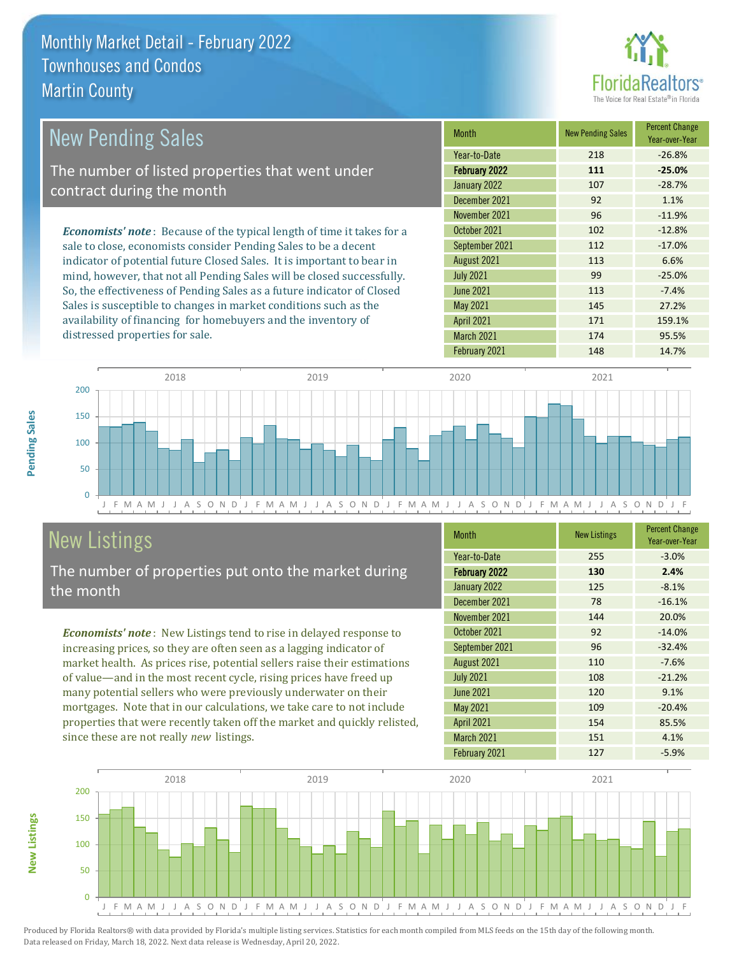

| <b>New Pending Sales</b>                                                      | <b>Month</b>      | <b>New Pending Sales</b> | <b>Percent Change</b><br>Year-over-Year |
|-------------------------------------------------------------------------------|-------------------|--------------------------|-----------------------------------------|
|                                                                               | Year-to-Date      | 218                      | $-26.8%$                                |
| The number of listed properties that went under                               | February 2022     | 111                      | $-25.0%$                                |
| contract during the month                                                     | January 2022      | 107                      | $-28.7%$                                |
|                                                                               | December 2021     | 92                       | 1.1%                                    |
|                                                                               | November 2021     | 96                       | $-11.9%$                                |
| <b>Economists' note:</b> Because of the typical length of time it takes for a | October 2021      | 102                      | $-12.8%$                                |
| sale to close, economists consider Pending Sales to be a decent               | September 2021    | 112                      | $-17.0%$                                |
| indicator of potential future Closed Sales. It is important to bear in        | August 2021       | 113                      | 6.6%                                    |
| mind, however, that not all Pending Sales will be closed successfully.        | <b>July 2021</b>  | 99                       | $-25.0%$                                |
| So, the effectiveness of Pending Sales as a future indicator of Closed        | <b>June 2021</b>  | 113                      | $-7.4%$                                 |
| Sales is susceptible to changes in market conditions such as the              | May 2021          | 145                      | 27.2%                                   |
| availability of financing for homebuyers and the inventory of                 | <b>April 2021</b> | 171                      | 159.1%                                  |



# New Listings

distressed properties for sale.

The number of properties put onto the market during the month

*Economists' note* : New Listings tend to rise in delayed response to increasing prices, so they are often seen as a lagging indicator of market health. As prices rise, potential sellers raise their estimations of value—and in the most recent cycle, rising prices have freed up many potential sellers who were previously underwater on their mortgages. Note that in our calculations, we take care to not include properties that were recently taken off the market and quickly relisted, since these are not really *new* listings.

| <b>Month</b>         | <b>New Listings</b> | <b>Percent Change</b><br>Year-over-Year |
|----------------------|---------------------|-----------------------------------------|
| Year-to-Date         | 255                 | $-3.0%$                                 |
| <b>February 2022</b> | 130                 | 2.4%                                    |
| January 2022         | 125                 | $-8.1%$                                 |
| December 2021        | 78                  | $-16.1%$                                |
| November 2021        | 144                 | 20.0%                                   |
| October 2021         | 92                  | $-14.0%$                                |
| September 2021       | 96                  | $-32.4%$                                |
| August 2021          | 110                 | $-7.6%$                                 |
| <b>July 2021</b>     | 108                 | $-21.2%$                                |
| <b>June 2021</b>     | 120                 | 9.1%                                    |
| <b>May 2021</b>      | 109                 | $-20.4%$                                |
| April 2021           | 154                 | 85.5%                                   |
| March 2021           | 151                 | 4.1%                                    |
| February 2021        | 127                 | $-5.9%$                                 |

February 2021 148 14.7%

March 2021 174 95.5%



**New Listings**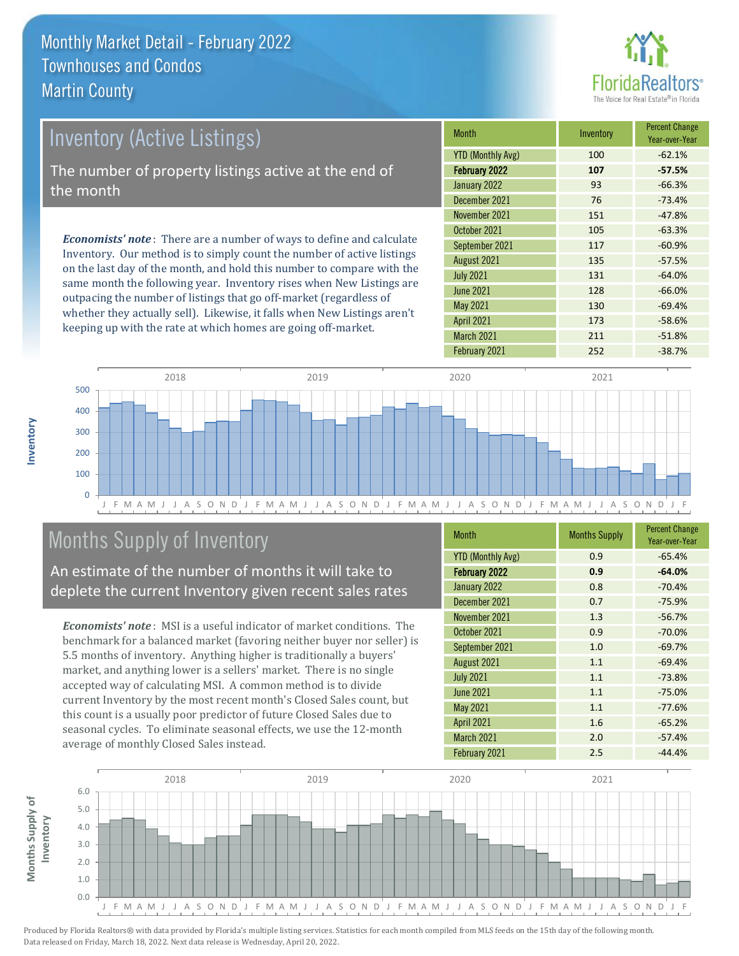

| <b>Inventory (Active Listings)</b>                                          | <b>Month</b>             | Inventory | <b>Percent Change</b><br>Year-over-Year |
|-----------------------------------------------------------------------------|--------------------------|-----------|-----------------------------------------|
|                                                                             | <b>YTD (Monthly Avg)</b> | 100       | $-62.1%$                                |
| The number of property listings active at the end of                        | February 2022            | 107       | $-57.5%$                                |
| the month                                                                   | January 2022             | 93        | $-66.3%$                                |
|                                                                             | December 2021            | 76        | $-73.4%$                                |
|                                                                             | November 2021            | 151       | $-47.8%$                                |
| <b>Economists' note:</b> There are a number of ways to define and calculate | October 2021             | 105       | $-63.3%$                                |
|                                                                             | September 2021           | 117       | $-60.9%$                                |
| Inventory. Our method is to simply count the number of active listings      | $1.2.21$ 0001            | 12E       | $F \rightarrow F \rightarrow$           |

on the last day of the month, and hold this number to compare with the same month the following year. Inventory rises when New Listings are outpacing the number of listings that go off-market (regardless of whether they actually sell). Likewise, it falls when New Listings aren't keeping up with the rate at which homes are going off-market.

|                          |     | Year-over-Year |
|--------------------------|-----|----------------|
| <b>YTD (Monthly Avg)</b> | 100 | $-62.1%$       |
| February 2022            | 107 | $-57.5%$       |
| January 2022             | 93  | $-66.3%$       |
| December 2021            | 76  | $-73.4%$       |
| November 2021            | 151 | $-47.8%$       |
| October 2021             | 105 | $-63.3%$       |
| September 2021           | 117 | $-60.9%$       |
| August 2021              | 135 | $-57.5%$       |
| <b>July 2021</b>         | 131 | $-64.0%$       |
| <b>June 2021</b>         | 128 | $-66.0%$       |
| <b>May 2021</b>          | 130 | $-69.4%$       |
| April 2021               | 173 | $-58.6%$       |
| <b>March 2021</b>        | 211 | $-51.8%$       |
| February 2021            | 252 | $-38.7%$       |



# Months Supply of Inventory

An estimate of the number of months it will take to deplete the current Inventory given recent sales rates

*Economists' note* : MSI is a useful indicator of market conditions. The benchmark for a balanced market (favoring neither buyer nor seller) is 5.5 months of inventory. Anything higher is traditionally a buyers' market, and anything lower is a sellers' market. There is no single accepted way of calculating MSI. A common method is to divide current Inventory by the most recent month's Closed Sales count, but this count is a usually poor predictor of future Closed Sales due to seasonal cycles. To eliminate seasonal effects, we use the 12-month average of monthly Closed Sales instead.

| <b>Month</b>             | <b>Months Supply</b> | <b>Percent Change</b><br>Year-over-Year |  |
|--------------------------|----------------------|-----------------------------------------|--|
| <b>YTD (Monthly Avg)</b> | 0.9                  | $-65.4%$                                |  |
| <b>February 2022</b>     | 0.9                  | $-64.0%$                                |  |
| January 2022             | 0.8                  | $-70.4%$                                |  |
| December 2021            | 0.7                  | $-75.9%$                                |  |
| November 2021            | 1.3                  | $-56.7%$                                |  |
| October 2021             | 0.9                  | $-70.0%$                                |  |
| September 2021           | 1.0                  | $-69.7%$                                |  |
| August 2021              | 1.1                  | $-69.4%$                                |  |
| <b>July 2021</b>         | 1.1                  | $-73.8%$                                |  |
| <b>June 2021</b>         | 1.1                  | $-75.0%$                                |  |
| <b>May 2021</b>          | 1.1                  | $-77.6%$                                |  |
| April 2021               | 1.6                  | $-65.2%$                                |  |
| March 2021               | 2.0                  | $-57.4%$                                |  |
| February 2021            | 2.5                  | $-44.4%$                                |  |



**Inventory**

**Months Supply of** 

Months Supply of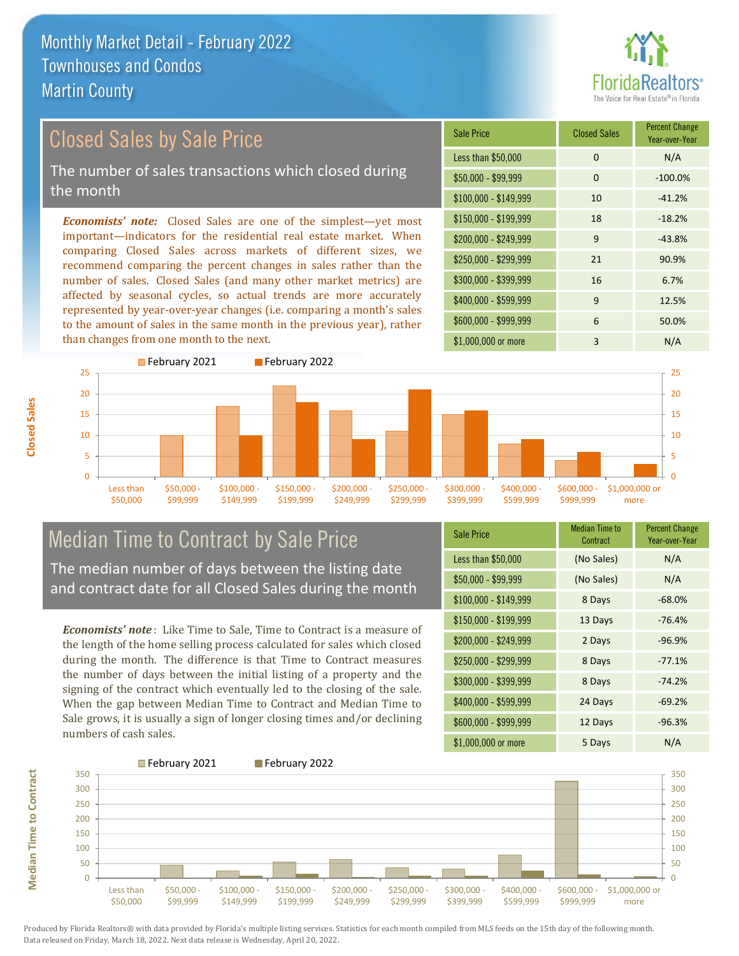

# Closed Sales by Sale Price

The number of sales transactions which closed during the month

*Economists' note:* Closed Sales are one of the simplest—yet most important—indicators for the residential real estate market. When comparing Closed Sales across markets of different sizes, we recommend comparing the percent changes in sales rather than the number of sales. Closed Sales (and many other market metrics) are affected by seasonal cycles, so actual trends are more accurately represented by year-over-year changes (i.e. comparing a month's sales to the amount of sales in the same month in the previous year), rather than changes from one month to the next.

| <b>Sale Price</b>     | <b>Closed Sales</b> | <b>Percent Change</b><br>Year-over-Year |
|-----------------------|---------------------|-----------------------------------------|
| Less than \$50,000    | 0                   | N/A                                     |
| $$50,000 - $99,999$   | $\Omega$            | $-100.0%$                               |
| $$100,000 - $149,999$ | 10                  | $-41.2%$                                |
| $$150,000 - $199,999$ | 18                  | $-18.2%$                                |
| $$200,000 - $249,999$ | 9                   | $-43.8%$                                |
| \$250,000 - \$299,999 | 21                  | 90.9%                                   |
| \$300,000 - \$399,999 | 16                  | 6.7%                                    |
| \$400,000 - \$599,999 | 9                   | 12.5%                                   |
| \$600,000 - \$999,999 | 6                   | 50.0%                                   |
| \$1,000,000 or more   | 3                   | N/A                                     |



# Median Time to Contract by Sale Price

The median number of days between the listing date and contract date for all Closed Sales during the month

*Economists' note* : Like Time to Sale, Time to Contract is a measure of the length of the home selling process calculated for sales which closed during the month. The difference is that Time to Contract measures the number of days between the initial listing of a property and the signing of the contract which eventually led to the closing of the sale. When the gap between Median Time to Contract and Median Time to Sale grows, it is usually a sign of longer closing times and/or declining numbers of cash sales.

| <b>Sale Price</b>     | Median Time to<br>Contract | <b>Percent Change</b><br>Year-over-Year |
|-----------------------|----------------------------|-----------------------------------------|
| Less than \$50,000    | (No Sales)                 | N/A                                     |
| \$50,000 - \$99,999   | (No Sales)                 | N/A                                     |
| $$100,000 - $149,999$ | 8 Days                     | $-68.0%$                                |
| $$150,000 - $199,999$ | 13 Days                    | $-76.4%$                                |
| $$200,000 - $249,999$ | 2 Days                     | $-96.9%$                                |
| \$250,000 - \$299,999 | 8 Days                     | $-77.1%$                                |
| \$300,000 - \$399,999 | 8 Days                     | $-74.2%$                                |
| $$400,000 - $599,999$ | 24 Days                    | $-69.2%$                                |
| \$600,000 - \$999,999 | 12 Days                    | $-96.3%$                                |
| \$1,000,000 or more   | 5 Days                     | N/A                                     |



Produced by Florida Realtors® with data provided by Florida's multiple listing services. Statistics for each month compiled from MLS feeds on the 15th day of the following month. Data released on Friday, March 18, 2022. Next data release is Wednesday, April 20, 2022.

**Median Time to Contract**

**Median Time to Contract**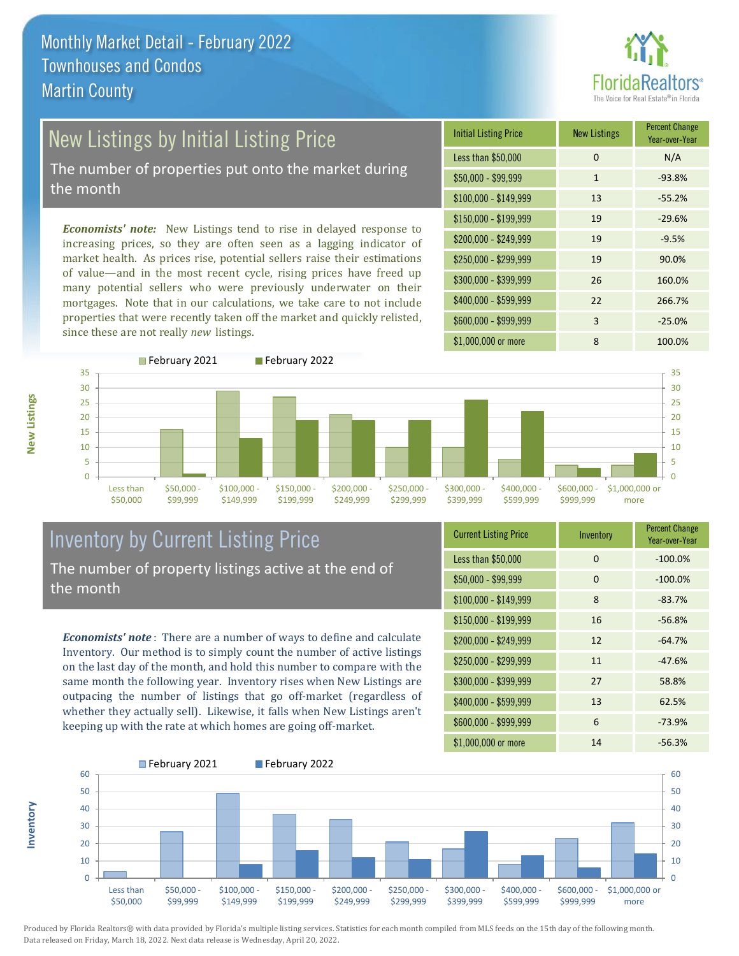

# New Listings by Initial Listing Price

The number of properties put onto the market during the month

*Economists' note:* New Listings tend to rise in delayed response to increasing prices, so they are often seen as a lagging indicator of market health. As prices rise, potential sellers raise their estimations of value—and in the most recent cycle, rising prices have freed up many potential sellers who were previously underwater on their mortgages. Note that in our calculations, we take care to not include properties that were recently taken off the market and quickly relisted, since these are not really *new* listings.





## Inventory by Current Listing Price The number of property listings active at the end of the month

*Economists' note* : There are a number of ways to define and calculate Inventory. Our method is to simply count the number of active listings on the last day of the month, and hold this number to compare with the same month the following year. Inventory rises when New Listings are outpacing the number of listings that go off-market (regardless of whether they actually sell). Likewise, it falls when New Listings aren't keeping up with the rate at which homes are going off-market.

| <b>Current Listing Price</b> | Inventory | <b>Percent Change</b><br>Year-over-Year |
|------------------------------|-----------|-----------------------------------------|
| Less than \$50,000           | 0         | $-100.0%$                               |
| $$50,000 - $99,999$          | 0         | $-100.0%$                               |
| $$100,000 - $149,999$        | 8         | $-83.7%$                                |
| \$150,000 - \$199,999        | 16        | $-56.8%$                                |
| $$200,000 - $249,999$        | 12        | $-64.7%$                                |
| \$250,000 - \$299,999        | 11        | $-47.6%$                                |
| \$300,000 - \$399,999        | 27        | 58.8%                                   |
| \$400,000 - \$599,999        | 13        | 62.5%                                   |
| \$600,000 - \$999,999        | 6         | $-73.9%$                                |
| \$1,000,000 or more          | 14        | $-56.3%$                                |



Produced by Florida Realtors® with data provided by Florida's multiple listing services. Statistics for each month compiled from MLS feeds on the 15th day of the following month. Data released on Friday, March 18, 2022. Next data release is Wednesday, April 20, 2022.

**Inventory**